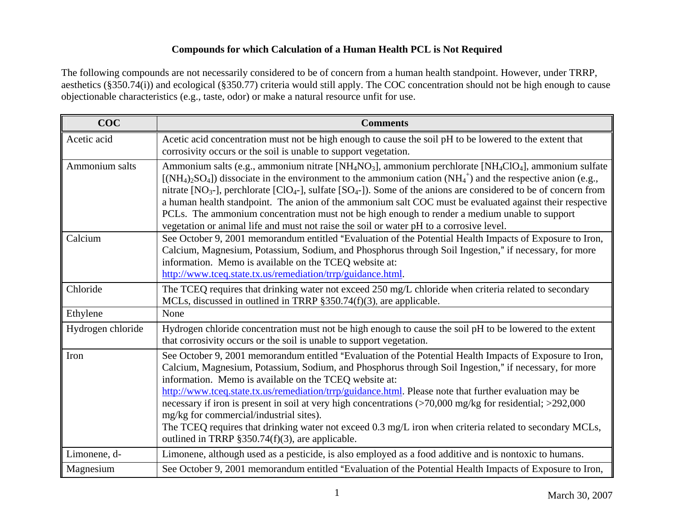## **Compounds for which Calculation of a Human Health PCL is Not Required**

The following compounds are not necessarily considered to be of concern from a human health standpoint. However, under TRRP, aesthetics (§350.74(i)) and ecological (§350.77) criteria would still apply. The COC concentration should not be high enough to cause objectionable characteristics (e.g., taste, odor) or make a natural resource unfit for use.

| <b>COC</b>        | <b>Comments</b>                                                                                                                                                                                                                                                                                                                                                                                                                                                                                                                                                                                                                                                                                                                                                                                   |
|-------------------|---------------------------------------------------------------------------------------------------------------------------------------------------------------------------------------------------------------------------------------------------------------------------------------------------------------------------------------------------------------------------------------------------------------------------------------------------------------------------------------------------------------------------------------------------------------------------------------------------------------------------------------------------------------------------------------------------------------------------------------------------------------------------------------------------|
| Acetic acid       | Acetic acid concentration must not be high enough to cause the soil pH to be lowered to the extent that<br>corrosivity occurs or the soil is unable to support vegetation.                                                                                                                                                                                                                                                                                                                                                                                                                                                                                                                                                                                                                        |
| Ammonium salts    | Ammonium salts (e.g., ammonium nitrate [NH <sub>4</sub> NO <sub>3</sub> ], ammonium perchlorate [NH <sub>4</sub> ClO <sub>4</sub> ], ammonium sulfate<br>[(NH <sub>4</sub> ) <sub>2</sub> SO <sub>4</sub> ]) dissociate in the environment to the ammonium cation (NH <sub>4</sub> <sup>+</sup> ) and the respective anion (e.g.,<br>nitrate [NO <sub>3</sub> -], perchlorate [ClO <sub>4</sub> -], sulfate [SO <sub>4</sub> -]). Some of the anions are considered to be of concern from<br>a human health standpoint. The anion of the ammonium salt COC must be evaluated against their respective<br>PCLs. The ammonium concentration must not be high enough to render a medium unable to support<br>vegetation or animal life and must not raise the soil or water pH to a corrosive level. |
| Calcium           | See October 9, 2001 memorandum entitled "Evaluation of the Potential Health Impacts of Exposure to Iron,<br>Calcium, Magnesium, Potassium, Sodium, and Phosphorus through Soil Ingestion," if necessary, for more<br>information. Memo is available on the TCEQ website at:<br>http://www.tceq.state.tx.us/remediation/trrp/guidance.html.                                                                                                                                                                                                                                                                                                                                                                                                                                                        |
| Chloride          | The TCEQ requires that drinking water not exceed 250 mg/L chloride when criteria related to secondary<br>MCLs, discussed in outlined in TRRP $§350.74(f)(3)$ , are applicable.                                                                                                                                                                                                                                                                                                                                                                                                                                                                                                                                                                                                                    |
| Ethylene          | None                                                                                                                                                                                                                                                                                                                                                                                                                                                                                                                                                                                                                                                                                                                                                                                              |
| Hydrogen chloride | Hydrogen chloride concentration must not be high enough to cause the soil pH to be lowered to the extent<br>that corrosivity occurs or the soil is unable to support vegetation.                                                                                                                                                                                                                                                                                                                                                                                                                                                                                                                                                                                                                  |
| Iron              | See October 9, 2001 memorandum entitled "Evaluation of the Potential Health Impacts of Exposure to Iron,<br>Calcium, Magnesium, Potassium, Sodium, and Phosphorus through Soil Ingestion," if necessary, for more<br>information. Memo is available on the TCEQ website at:<br>http://www.tceq.state.tx.us/remediation/trrp/guidance.html. Please note that further evaluation may be<br>necessary if iron is present in soil at very high concentrations (>70,000 mg/kg for residential; >292,000<br>mg/kg for commercial/industrial sites).<br>The TCEQ requires that drinking water not exceed 0.3 mg/L iron when criteria related to secondary MCLs,<br>outlined in TRRP §350.74(f)(3), are applicable.                                                                                       |
| Limonene, d-      | Limonene, although used as a pesticide, is also employed as a food additive and is nontoxic to humans.                                                                                                                                                                                                                                                                                                                                                                                                                                                                                                                                                                                                                                                                                            |
| Magnesium         | See October 9, 2001 memorandum entitled "Evaluation of the Potential Health Impacts of Exposure to Iron,                                                                                                                                                                                                                                                                                                                                                                                                                                                                                                                                                                                                                                                                                          |